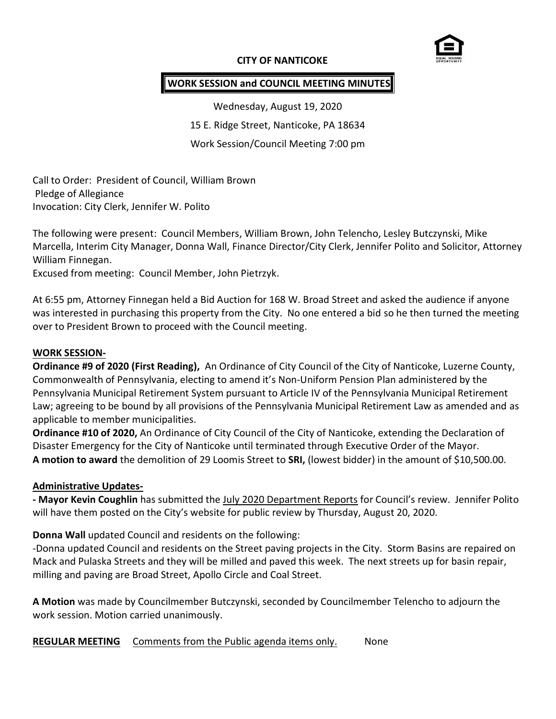### **CITY OF NANTICOKE**



### **WORK SESSION and COUNCIL MEETING MINUTES**

Wednesday, August 19, 2020 15 E. Ridge Street, Nanticoke, PA 18634 Work Session/Council Meeting 7:00 pm

Call to Order: President of Council, William Brown Pledge of Allegiance Invocation: City Clerk, Jennifer W. Polito

The following were present: Council Members, William Brown, John Telencho, Lesley Butczynski, Mike Marcella, Interim City Manager, Donna Wall, Finance Director/City Clerk, Jennifer Polito and Solicitor, Attorney William Finnegan.

Excused from meeting: Council Member, John Pietrzyk.

At 6:55 pm, Attorney Finnegan held a Bid Auction for 168 W. Broad Street and asked the audience if anyone was interested in purchasing this property from the City. No one entered a bid so he then turned the meeting over to President Brown to proceed with the Council meeting.

#### **WORK SESSION-**

**Ordinance #9 of 2020 (First Reading),** An Ordinance of City Council of the City of Nanticoke, Luzerne County, Commonwealth of Pennsylvania, electing to amend it's Non-Uniform Pension Plan administered by the Pennsylvania Municipal Retirement System pursuant to Article IV of the Pennsylvania Municipal Retirement Law; agreeing to be bound by all provisions of the Pennsylvania Municipal Retirement Law as amended and as applicable to member municipalities.

**Ordinance #10 of 2020,** An Ordinance of City Council of the City of Nanticoke, extending the Declaration of Disaster Emergency for the City of Nanticoke until terminated through Executive Order of the Mayor. **A motion to award** the demolition of 29 Loomis Street to **SRI,** (lowest bidder) in the amount of \$10,500.00.

### **Administrative Updates-**

**- Mayor Kevin Coughlin** has submitted the July 2020 Department Reports for Council's review. Jennifer Polito will have them posted on the City's website for public review by Thursday, August 20, 2020.

**Donna Wall** updated Council and residents on the following:

-Donna updated Council and residents on the Street paving projects in the City. Storm Basins are repaired on Mack and Pulaska Streets and they will be milled and paved this week. The next streets up for basin repair, milling and paving are Broad Street, Apollo Circle and Coal Street.

**A Motion** was made by Councilmember Butczynski, seconded by Councilmember Telencho to adjourn the work session. Motion carried unanimously.

**REGULAR MEETING** Comments from the Public agenda items only. None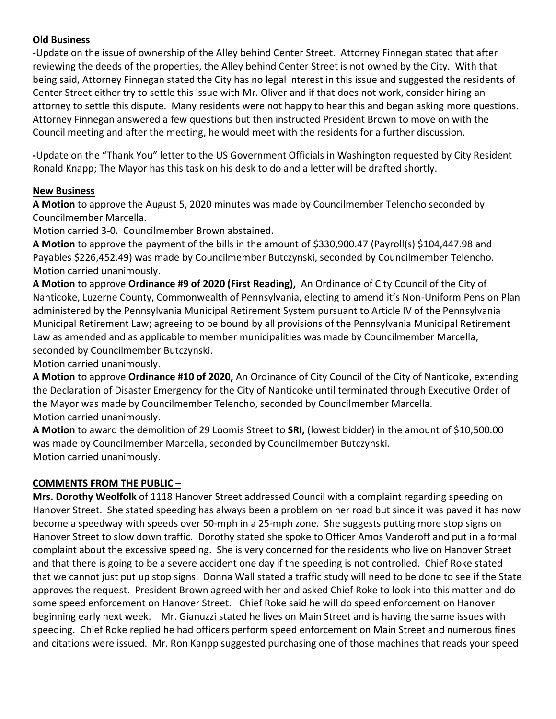## **Old Business**

**-**Update on the issue of ownership of the Alley behind Center Street. Attorney Finnegan stated that after reviewing the deeds of the properties, the Alley behind Center Street is not owned by the City. With that being said, Attorney Finnegan stated the City has no legal interest in this issue and suggested the residents of Center Street either try to settle this issue with Mr. Oliver and if that does not work, consider hiring an attorney to settle this dispute. Many residents were not happy to hear this and began asking more questions. Attorney Finnegan answered a few questions but then instructed President Brown to move on with the Council meeting and after the meeting, he would meet with the residents for a further discussion.

**-**Update on the "Thank You" letter to the US Government Officials in Washington requested by City Resident Ronald Knapp; The Mayor has this task on his desk to do and a letter will be drafted shortly.

# **New Business**

**A Motion** to approve the August 5, 2020 minutes was made by Councilmember Telencho seconded by Councilmember Marcella.

Motion carried 3-0. Councilmember Brown abstained.

**A Motion** to approve the payment of the bills in the amount of \$330,900.47 (Payroll(s) \$104,447.98 and Payables \$226,452.49) was made by Councilmember Butczynski, seconded by Councilmember Telencho. Motion carried unanimously.

**A Motion** to approve **Ordinance #9 of 2020 (First Reading),** An Ordinance of City Council of the City of Nanticoke, Luzerne County, Commonwealth of Pennsylvania, electing to amend it's Non-Uniform Pension Plan administered by the Pennsylvania Municipal Retirement System pursuant to Article IV of the Pennsylvania Municipal Retirement Law; agreeing to be bound by all provisions of the Pennsylvania Municipal Retirement Law as amended and as applicable to member municipalities was made by Councilmember Marcella, seconded by Councilmember Butczynski.

Motion carried unanimously.

**A Motion** to approve **Ordinance #10 of 2020,** An Ordinance of City Council of the City of Nanticoke, extending the Declaration of Disaster Emergency for the City of Nanticoke until terminated through Executive Order of the Mayor was made by Councilmember Telencho, seconded by Councilmember Marcella. Motion carried unanimously.

**A Motion** to award the demolition of 29 Loomis Street to **SRI,** (lowest bidder) in the amount of \$10,500.00 was made by Councilmember Marcella, seconded by Councilmember Butczynski. Motion carried unanimously.

# **COMMENTS FROM THE PUBLIC –**

**Mrs. Dorothy Weolfolk** of 1118 Hanover Street addressed Council with a complaint regarding speeding on Hanover Street. She stated speeding has always been a problem on her road but since it was paved it has now become a speedway with speeds over 50-mph in a 25-mph zone. She suggests putting more stop signs on Hanover Street to slow down traffic. Dorothy stated she spoke to Officer Amos Vanderoff and put in a formal complaint about the excessive speeding. She is very concerned for the residents who live on Hanover Street and that there is going to be a severe accident one day if the speeding is not controlled. Chief Roke stated that we cannot just put up stop signs. Donna Wall stated a traffic study will need to be done to see if the State approves the request. President Brown agreed with her and asked Chief Roke to look into this matter and do some speed enforcement on Hanover Street. Chief Roke said he will do speed enforcement on Hanover beginning early next week. Mr. Gianuzzi stated he lives on Main Street and is having the same issues with speeding. Chief Roke replied he had officers perform speed enforcement on Main Street and numerous fines and citations were issued. Mr. Ron Kanpp suggested purchasing one of those machines that reads your speed